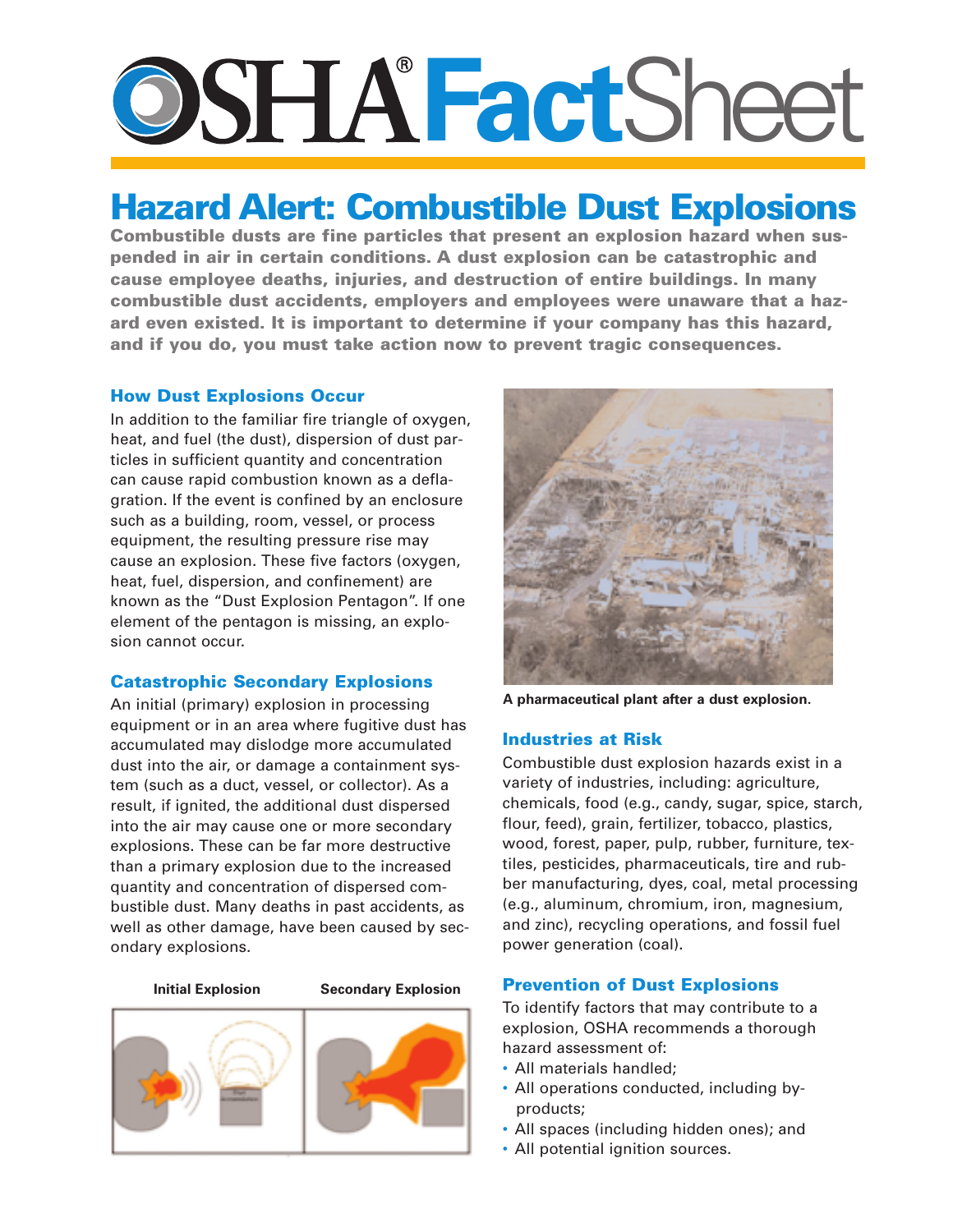# **Fact**Sheet

## **Hazard Alert: Combustible Dust Explosions**

**Combustible dusts are fine particles that present an explosion hazard when suspended in air in certain conditions. A dust explosion can be catastrophic and cause employee deaths, injuries, and destruction of entire buildings. In many combustible dust accidents, employers and employees were unaware that a hazard even existed. It is important to determine if your company has this hazard, and if you do, you must take action now to prevent tragic consequences.**

#### **How Dust Explosions Occur**

In addition to the familiar fire triangle of oxygen, heat, and fuel (the dust), dispersion of dust particles in sufficient quantity and concentration can cause rapid combustion known as a deflagration. If the event is confined by an enclosure such as a building, room, vessel, or process equipment, the resulting pressure rise may cause an explosion. These five factors (oxygen, heat, fuel, dispersion, and confinement) are known as the "Dust Explosion Pentagon". If one element of the pentagon is missing, an explosion cannot occur.

### **Catastrophic Secondary Explosions**

An initial (primary) explosion in processing equipment or in an area where fugitive dust has accumulated may dislodge more accumulated dust into the air, or damage a containment system (such as a duct, vessel, or collector). As a result, if ignited, the additional dust dispersed into the air may cause one or more secondary explosions. These can be far more destructive than a primary explosion due to the increased quantity and concentration of dispersed combustible dust. Many deaths in past accidents, as well as other damage, have been caused by secondary explosions.

#### **Initial Explosion Secondary Explosion**





**A pharmaceutical plant after a dust explosion.**

#### **Industries at Risk**

Combustible dust explosion hazards exist in a variety of industries, including: agriculture, chemicals, food (e.g., candy, sugar, spice, starch, flour, feed), grain, fertilizer, tobacco, plastics, wood, forest, paper, pulp, rubber, furniture, textiles, pesticides, pharmaceuticals, tire and rubber manufacturing, dyes, coal, metal processing (e.g., aluminum, chromium, iron, magnesium, and zinc), recycling operations, and fossil fuel power generation (coal).

### **Prevention of Dust Explosions**

To identify factors that may contribute to a explosion, OSHA recommends a thorough hazard assessment of:

- All materials handled;
- All operations conducted, including byproducts;
- All spaces (including hidden ones); and
- All potential ignition sources.